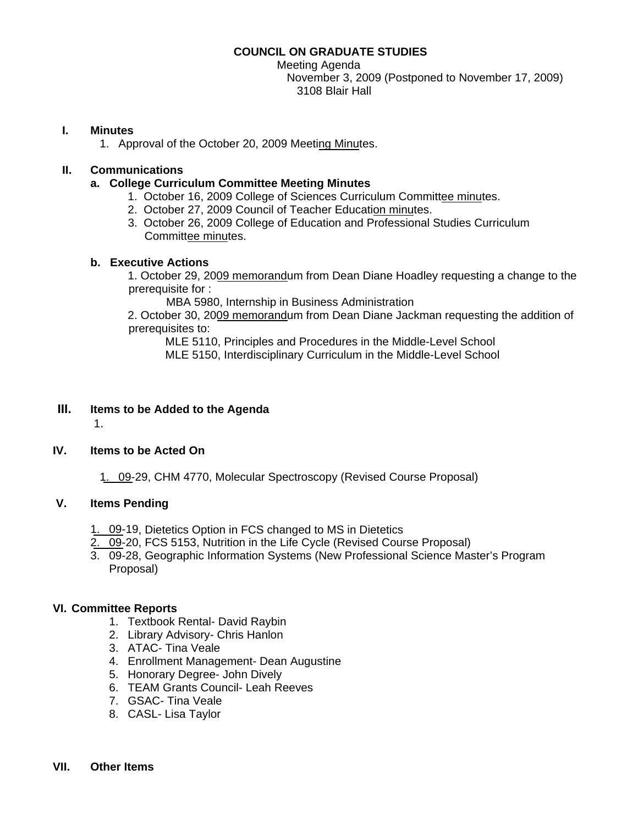# **COUNCIL ON GRADUATE STUDIES**

Meeting Agenda November 3, 2009 (Postponed to November 17, 2009) 3108 Blair Hall

#### **I. Minutes**

1. Approval of the October 20, 2009 Meet[ing Minutes](http://www.eiu.edu/~eiucgs/currentminutes/Minutes10-20-09.pdf).

# **II. Communications**

# **a. College Curriculum Committee Meeting Minutes**

- 1. October 16, 2009 College of Sciences Curriculum Committ[ee minutes](http://www.eiu.edu/~eiucgs/currentagendaitems/COSMin10-16-09.pdf).
- 2. October 27, 2009 Council of Teacher Educ[ation minute](http://www.eiu.edu/~eiucgs/currentagendaitems/COTEMin10-27-09.pdf)s.
- 3. October 26, 2009 College of Education and Professional Studies Curriculum Comm[ittee minutes](http://www.eiu.edu/~eiucgs/currentagendaitems/CEPSMin10-26-09.pdf).

## **b. Executive Actions**

1. October 29, 2[009 memorandu](http://www.eiu.edu/~eiucgs/currentagendaitems/LCBAS-exec-act-10-29-09.pdf)m from Dean Diane Hoadley requesting a change to the prerequisite for :

MBA 5980, Internship in Business Administration

 2. October 30, 2009 [memorandu](http://www.eiu.edu/~eiucgs/currentagendaitems/CEPS-exec-act-10-30-09.pdf)m from Dean Diane Jackman requesting the addition of prerequisites to:

MLE 5110, Principles and Procedures in the Middle-Level School

MLE 5150, Interdisciplinary Curriculum in the Middle-Level School

# **III. Items to be Added to the Agenda**

1.

## **IV. Items to be Acted On**

[1. 09-29](http://www.eiu.edu/~eiucgs/currentagendaitems/agenda09-29.pdf), CHM 4770, Molecular Spectroscopy (Revised Course Proposal)

## **V. Items Pending**

- 1[. 09-19](http://www.eiu.edu/~eiucgs/currentagendaitems/agenda09-19.pdf), Dietetics Option in FCS changed to MS in Dietetics
- [2. 09-20](http://www.eiu.edu/~eiucgs/currentagendaitems/agenda09-20.pdf), FCS 5153, Nutrition in the Life Cycle (Revised Course Proposal)
- 3. 09-28, Geographic Information Systems (New Professional Science Master's Program Proposal)

## **VI. Committee Reports**

- 1. Textbook Rental- David Raybin
- 2. Library Advisory- Chris Hanlon
- 3. ATAC- Tina Veale
- 4. Enrollment Management- Dean Augustine
- 5. Honorary Degree- John Dively
- 6. TEAM Grants Council- Leah Reeves
- 7. GSAC- Tina Veale
- 8. CASL- Lisa Taylor

**VII. Other Items**